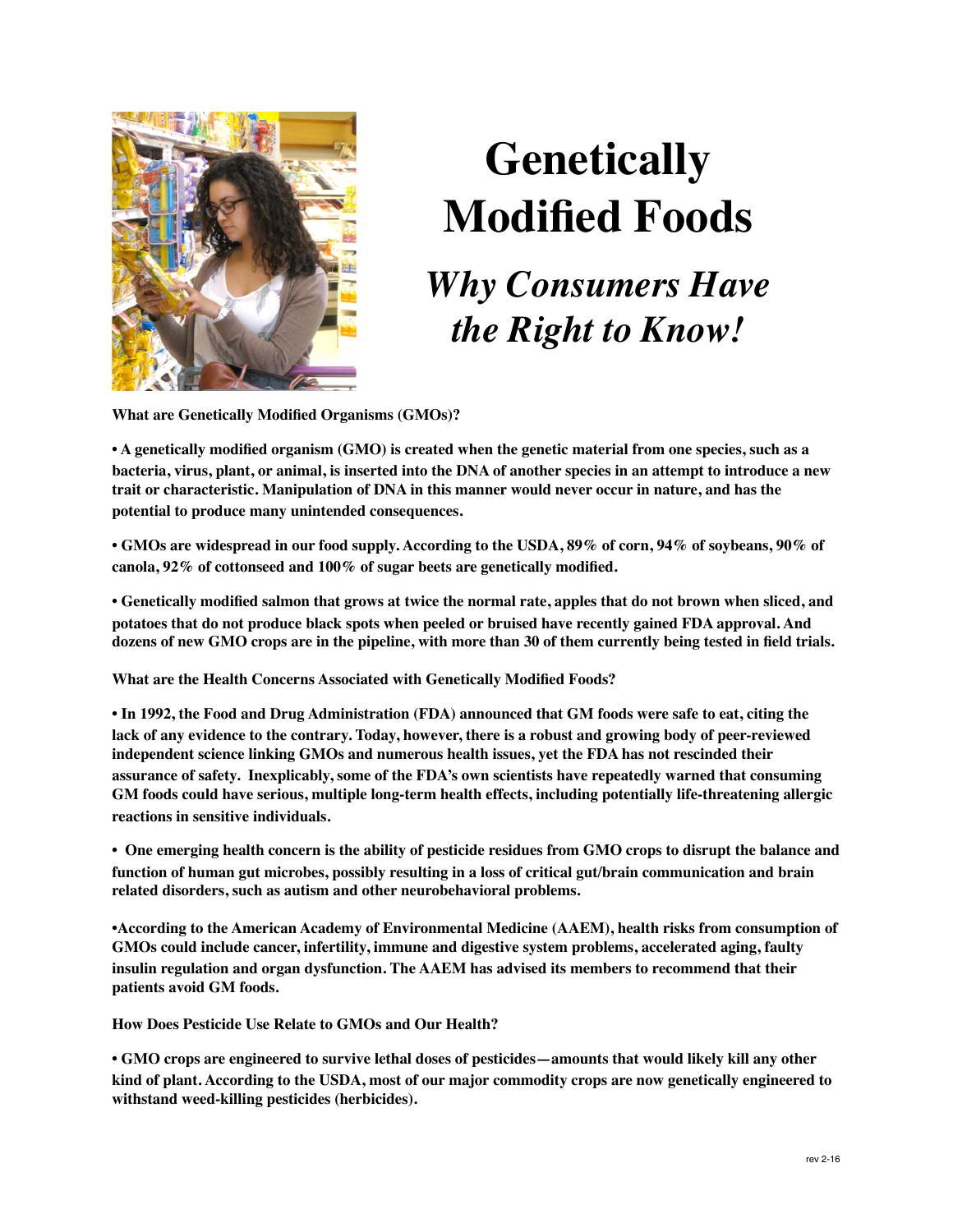

## **Genetically Modified Foods**

## *Why Consumers Have the Right to Know!*

**What are Genetically Modified Organisms (GMOs)?** 

**• A genetically modified organism (GMO) is created when the genetic material from one species, such as a bacteria, virus, plant, or animal, is inserted into the DNA of another species in an attempt to introduce a new trait or characteristic. Manipulation of DNA in this manner would never occur in nature, and has the potential to produce many unintended consequences.**

**• GMOs are widespread in our food supply. According to the USDA, 89% of corn, 94% of soybeans, 90% of canola, 92% of cottonseed and 100% of sugar beets are genetically modified.** 

**• Genetically modified salmon that grows at twice the normal rate, apples that do not brown when sliced, and potatoes that do not produce black spots when peeled or bruised have recently gained FDA approval. And dozens of new GMO crops are in the pipeline, with more than 30 of them currently being tested in field trials.** 

**What are the Health Concerns Associated with Genetically Modified Foods?** 

**• In 1992, the Food and Drug Administration (FDA) announced that GM foods were safe to eat, citing the lack of any evidence to the contrary. Today, however, there is a robust and growing body of peer-reviewed independent science linking GMOs and numerous health issues, yet the FDA has not rescinded their assurance of safety. Inexplicably, some of the FDA's own scientists have repeatedly warned that consuming GM foods could have serious, multiple long-term health effects, including potentially life-threatening allergic reactions in sensitive individuals.** 

**• One emerging health concern is the ability of pesticide residues from GMO crops to disrupt the balance and function of human gut microbes, possibly resulting in a loss of critical gut/brain communication and brain related disorders, such as autism and other neurobehavioral problems.**

**•According to the American Academy of Environmental Medicine (AAEM), health risks from consumption of GMOs could include cancer, infertility, immune and digestive system problems, accelerated aging, faulty insulin regulation and organ dysfunction. The AAEM has advised its members to recommend that their patients avoid GM foods.** 

**How Does Pesticide Use Relate to GMOs and Our Health?** 

**• GMO crops are engineered to survive lethal doses of pesticides—amounts that would likely kill any other kind of plant. According to the USDA, most of our major commodity crops are now genetically engineered to withstand weed-killing pesticides (herbicides).**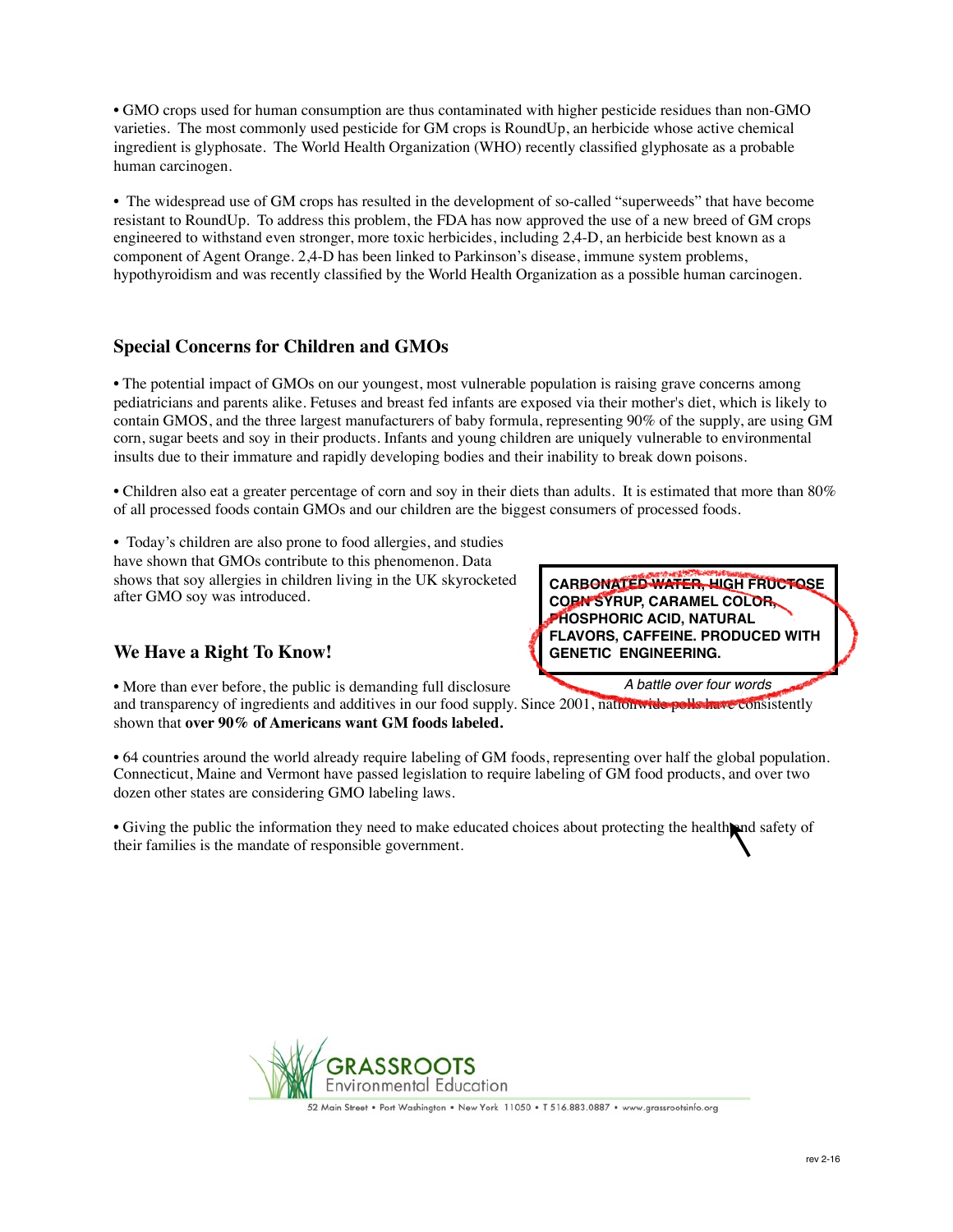• GMO crops used for human consumption are thus contaminated with higher pesticide residues than non-GMO varieties. The most commonly used pesticide for GM crops is RoundUp, an herbicide whose active chemical ingredient is glyphosate. The World Health Organization (WHO) recently classified glyphosate as a probable human carcinogen.

• The widespread use of GM crops has resulted in the development of so-called "superweeds" that have become resistant to RoundUp. To address this problem, the FDA has now approved the use of a new breed of GM crops engineered to withstand even stronger, more toxic herbicides, including 2,4-D, an herbicide best known as a component of Agent Orange. 2,4-D has been linked to Parkinson's disease, immune system problems, hypothyroidism and was recently classified by the World Health Organization as a possible human carcinogen.

## **Special Concerns for Children and GMOs**

• The potential impact of GMOs on our youngest, most vulnerable population is raising grave concerns among pediatricians and parents alike. Fetuses and breast fed infants are exposed via their mother's diet, which is likely to contain GMOS, and the three largest manufacturers of baby formula, representing 90% of the supply, are using GM corn, sugar beets and soy in their products. Infants and young children are uniquely vulnerable to environmental insults due to their immature and rapidly developing bodies and their inability to break down poisons.

• Children also eat a greater percentage of corn and soy in their diets than adults. It is estimated that more than 80% of all processed foods contain GMOs and our children are the biggest consumers of processed foods.

• Today's children are also prone to food allergies, and studies have shown that GMOs contribute to this phenomenon. Data shows that soy allergies in children living in the UK skyrocketed after GMO soy was introduced.

## **We Have a Right To Know!**

**CARBONATED WATER, HIGH FRUCTOSE CORN SYRUP, CARAMEL COLOR, PHOSPHORIC ACID, NATURAL FLAVORS, CAFFEINE. PRODUCED WITH GENETIC ENGINEERING.**

*A battle over four words*

• More than ever before, the public is demanding full disclosure and transparency of ingredients and additives in our food supply. Since 2001, nationwide polls have consistently

shown that **over 90% of Americans want GM foods labeled.** 

• 64 countries around the world already require labeling of GM foods, representing over half the global population. Connecticut, Maine and Vermont have passed legislation to require labeling of GM food products, and over two dozen other states are considering GMO labeling laws.

• Giving the public the information they need to make educated choices about protecting the health and safety of their families is the mandate of responsible government.



52 Main Street • Port Washington • New York 11050 • T 516.883.0887 • www.grassrootsinfo.org